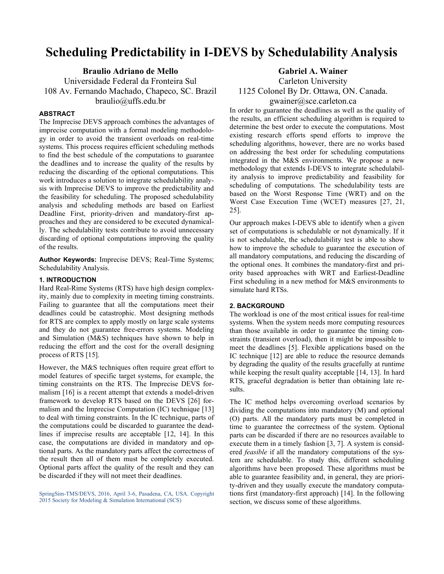# Scheduling Predictability in I-DEVS by Schedulability Analysis

Braulio Adriano de Mello

Universidade Federal da Fronteira Sul 108 Av. Fernando Machado, Chapeco, SC. Brazil braulio@uffs.edu.br

# **ABSTRACT**

The Imprecise DEVS approach combines the advantages of imprecise computation with a formal modeling methodology in order to avoid the transient overloads on real-time systems. This process requires efficient scheduling methods to find the best schedule of the computations to guarantee the deadlines and to increase the quality of the results by reducing the discarding of the optional computations. This work introduces a solution to integrate schedulability analysis with Imprecise DEVS to improve the predictability and the feasibility for scheduling. The proposed schedulability analysis and scheduling methods are based on Earliest Deadline First, priority-driven and mandatory-first approaches and they are considered to be executed dynamically. The schedulability tests contribute to avoid unnecessary discarding of optional computations improving the quality of the results.

Author Keywords: Imprecise DEVS; Real-Time Systems; Schedulability Analysis.

# 1. INTRODUCTION

Hard Real-Rime Systems (RTS) have high design complexity, mainly due to complexity in meeting timing constraints. Failing to guarantee that all the computations meet their deadlines could be catastrophic. Most designing methods for RTS are complex to apply mostly on large scale systems and they do not guarantee free-errors systems. Modeling and Simulation (M&S) techniques have shown to help in reducing the effort and the cost for the overall designing process of RTS [15].

However, the M&S techniques often require great effort to model features of specific target systems, for example, the timing constraints on the RTS. The Imprecise DEVS formalism [16] is a recent attempt that extends a model-driven framework to develop RTS based on the DEVS [26] formalism and the Imprecise Computation (IC) technique [13] to deal with timing constraints. In the IC technique, parts of the computations could be discarded to guarantee the deadlines if imprecise results are acceptable [12, 14]. In this case, the computations are divided in mandatory and optional parts. As the mandatory parts affect the correctness of the result then all of them must be completely executed. Optional parts affect the quality of the result and they can be discarded if they will not meet their deadlines.

SpringSim-TMS/DEVS, 2016, April 3-6, Pasadena, CA, USA. Copyright 2015 Society for Modeling & Simulation International (SCS)

Gabriel A. Wainer

Carleton University 1125 Colonel By Dr. Ottawa, ON. Canada.

# gwainer@sce.carleton.ca

In order to guarantee the deadlines as well as the quality of the results, an efficient scheduling algorithm is required to determine the best order to execute the computations. Most existing research efforts spend efforts to improve the scheduling algorithms, however, there are no works based on addressing the best order for scheduling computations integrated in the M&S environments. We propose a new methodology that extends I-DEVS to integrate schedulability analysis to improve predictability and feasibility for scheduling of computations. The schedulability tests are based on the Worst Response Time (WRT) and on the Worst Case Execution Time (WCET) measures [27, 21, 25].

Our approach makes I-DEVS able to identify when a given set of computations is schedulable or not dynamically. If it is not schedulable, the schedulability test is able to show how to improve the schedule to guarantee the execution of all mandatory computations, and reducing the discarding of the optional ones. It combines the mandatory-first and priority based approaches with WRT and Earliest-Deadline First scheduling in a new method for M&S environments to simulate hard RTSs.

# 2. BACKGROUND

The workload is one of the most critical issues for real-time systems. When the system needs more computing resources than those available in order to guarantee the timing constraints (transient overload), then it might be impossible to meet the deadlines [5]. Flexible applications based on the IC technique [12] are able to reduce the resource demands by degrading the quality of the results gracefully at runtime while keeping the result quality acceptable [14, 13]. In hard RTS, graceful degradation is better than obtaining late results.

The IC method helps overcoming overload scenarios by dividing the computations into mandatory (M) and optional (O) parts. All the mandatory parts must be completed in time to guarantee the correctness of the system. Optional parts can be discarded if there are no resources available to execute them in a timely fashion [3, 7]. A system is considered feasible if all the mandatory computations of the system are schedulable. To study this, different scheduling algorithms have been proposed. These algorithms must be able to guarantee feasibility and, in general, they are priority-driven and they usually execute the mandatory computations first (mandatory-first approach) [14]. In the following section, we discuss some of these algorithms.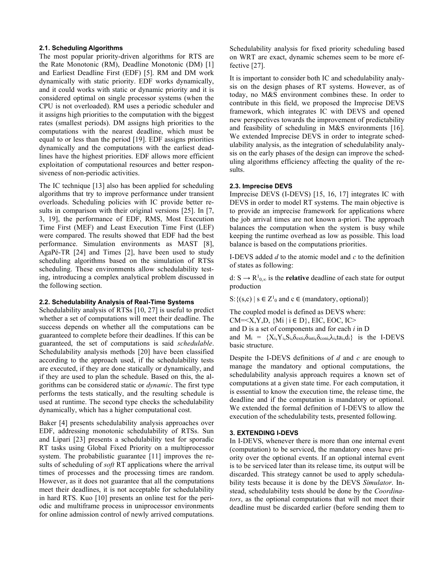#### 2.1. Scheduling Algorithms

The most popular priority-driven algorithms for RTS are the Rate Monotonic (RM), Deadline Monotonic (DM) [1] and Earliest Deadline First (EDF) [5]. RM and DM work dynamically with static priority. EDF works dynamically, and it could works with static or dynamic priority and it is considered optimal on single processor systems (when the CPU is not overloaded). RM uses a periodic scheduler and it assigns high priorities to the computation with the biggest rates (smallest periods). DM assigns high priorities to the computations with the nearest deadline, which must be equal to or less than the period [19]. EDF assigns priorities dynamically and the computations with the earliest deadlines have the highest priorities. EDF allows more efficient exploitation of computational resources and better responsiveness of non-periodic activities.

The IC technique [13] also has been applied for scheduling algorithms that try to improve performance under transient overloads. Scheduling policies with IC provide better results in comparison with their original versions [25]. In [7, 3, 19], the performance of EDF, RMS, Most Execution Time First (MEF) and Least Execution Time First (LEF) were compared. The results showed that EDF had the best performance. Simulation environments as MAST [8], AgaPé-TR [24] and Times [2], have been used to study scheduling algorithms based on the simulation of RTSs scheduling. These environments allow schedulability testing, introducing a complex analytical problem discussed in the following section.

#### 2.2. Schedulability Analysis of Real-Time Systems

Schedulability analysis of RTSs [10, 27] is useful to predict whether a set of computations will meet their deadline. The success depends on whether all the computations can be guaranteed to complete before their deadlines. If this can be guaranteed, the set of computations is said schedulable. Schedulability analysis methods [20] have been classified according to the approach used, if the schedulability tests are executed, if they are done statically or dynamically, and if they are used to plan the schedule. Based on this, the algorithms can be considered static or dynamic. The first type performs the tests statically, and the resulting schedule is used at runtime. The second type checks the schedulability dynamically, which has a higher computational cost.

Baker [4] presents schedulability analysis approaches over EDF, addressing monotonic schedulability of RTSs. Sun and Lipari [23] presents a schedulability test for sporadic RT tasks using Global Fixed Priority on a multiprocessor system. The probabilistic guarantee [11] improves the results of scheduling of *soft* RT applications where the arrival times of processes and the processing times are random. However, as it does not guarantee that all the computations meet their deadlines, it is not acceptable for schedulability in hard RTS. Kuo [10] presents an online test for the periodic and multiframe process in uniprocessor environments for online admission control of newly arrived computations. Schedulability analysis for fixed priority scheduling based on WRT are exact, dynamic schemes seem to be more effective [27].

It is important to consider both IC and schedulability analysis on the design phases of RT systems. However, as of today, no M&S environment combines these. In order to contribute in this field, we proposed the Imprecise DEVS framework, which integrates IC with DEVS and opened new perspectives towards the improvement of predictability and feasibility of scheduling in M&S environments [16]. We extended Imprecise DEVS in order to integrate schedulability analysis, as the integration of schedulability analysis on the early phases of the design can improve the scheduling algorithms efficiency affecting the quality of the results.

#### 2.3. Imprecise DEVS

Imprecise DEVS (I-DEVS) [15, 16, 17] integrates IC with DEVS in order to model RT systems. The main objective is to provide an imprecise framework for applications where the job arrival times are not known a-priori. The approach balances the computation when the system is busy while keeping the runtime overhead as low as possible. This load balance is based on the computations priorities.

I-DEVS added  $d$  to the atomic model and  $c$  to the definition of states as following:

d:  $S \to R^1_{0,\infty}$  is the **relative** deadline of each state for output production

S: {(s,c) | s  $\in Z^1_0$  and c  $\in$  (mandatory, optional)}

The coupled model is defined as DEVS where: CM= $\langle X, Y, D, \{Mi \mid i \in D\}$ , EIC, EOC, IC $>$ and  $D$  is a set of components and for each  $i$  in  $D$ and  $M_i = \{X_i, Y_i, S_i, \delta_{exti}, \delta_{inti}, \delta_{conti}, \lambda_i, ta_i, d_i\}$  is the I-DEVS basic structure.

Despite the I-DEVS definitions of  $d$  and  $c$  are enough to manage the mandatory and optional computations, the schedulability analysis approach requires a known set of computations at a given state time. For each computation, it is essential to know the execution time, the release time, the deadline and if the computation is mandatory or optional. We extended the formal definition of I-DEVS to allow the execution of the schedulability tests, presented following.

# 3. EXTENDING I-DEVS

In I-DEVS, whenever there is more than one internal event (computation) to be serviced, the mandatory ones have priority over the optional events. If an optional internal event is to be serviced later than its release time, its output will be discarded. This strategy cannot be used to apply schedulability tests because it is done by the DEVS Simulator. Instead, schedulability tests should be done by the Coordinators, as the optional computations that will not meet their deadline must be discarded earlier (before sending them to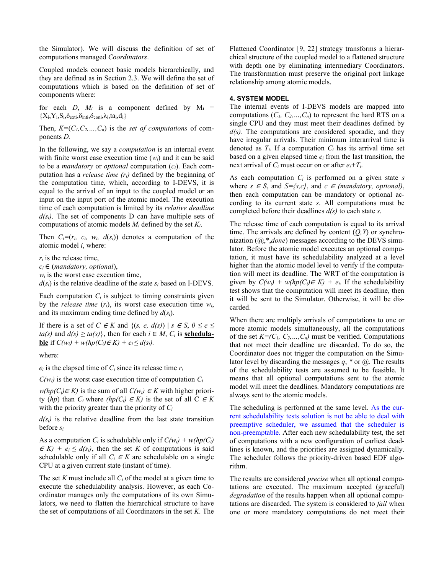the Simulator). We will discuss the definition of set of computations managed Coordinators.

Coupled models connect basic models hierarchically, and they are defined as in Section 2.3. We will define the set of computations which is based on the definition of set of components where:

for each  $D$ ,  $M_i$  is a component defined by  $M_i$  =  ${X_i, Y_i, S_i, \delta_{exti}, \delta_{inti}, \delta_{coni}, \lambda_i, ta_i, d_i}$ 

Then,  $K=(C_1, C_2, ..., C_n)$  is the set of computations of components D.

In the following, we say a *computation* is an internal event with finite worst case execution time  $(w<sub>i</sub>)$  and it can be said to be a *mandatory* or *optional* computation  $(c_i)$ . Each computation has a *release time*  $(r_i)$  defined by the beginning of the computation time, which, according to I-DEVS, it is equal to the arrival of an input to the coupled model or an input on the input port of the atomic model. The execution time of each computation is limited by its relative deadline  $d(s_i)$ . The set of components D can have multiple sets of computations of atomic models  $M_i$  defined by the set  $K_i$ .

Then  $C_i=(r_i, c_i, w_i, d(s_i))$  denotes a computation of the atomic model i, where:

 $r_i$  is the release time,

 $c_i \in (mandatory, optional),$ 

 $w_i$  is the worst case execution time,

 $d(s_i)$  is the relative deadline of the state  $s_i$  based on I-DEVS.

Each computation  $C_i$  is subject to timing constraints given by the *release time*  $(r_i)$ , its worst case execution time  $w_i$ , and its maximum ending time defined by  $d(s_i)$ .

If there is a set of C  $\in$  K and  $\{(s, e, d(s)) \mid s \in S, 0 \le e \le$  $ta(s)$  and  $d(s) \ge ta(s)$ , then for each  $i \in M$ ,  $C_i$  is **schedulable** if  $C(w_i) + w(hp(C_i) \in K) + e_i \leq d(s_i)$ .

where:

 $e_i$  is the elapsed time of  $C_i$  since its release time  $r_i$ 

 $C(w_i)$  is the worst case execution time of computation  $C_i$ 

 $w(hp(C_i) \in K)$  is the sum of all  $C(w_i) \in K$  with higher priority (hp) than  $C_i$  where (hp( $C_i$ )  $\in K$ ) is the set of all  $C \in K$ with the priority greater than the priority of  $C_i$ 

 $d(s_i)$  is the relative deadline from the last state transition before  $s_i$ .

As a computation  $C_i$  is schedulable only if  $C(w_i) + w(hp(C_i))$  $\in K$ ) +  $e_i \leq d(s_i)$ , then the set K of computations is said schedulable only if all  $C_i \in K$  are schedulable on a single CPU at a given current state (instant of time).

The set K must include all  $C_i$  of the model at a given time to execute the schedulability analysis. However, as each Coordinator manages only the computations of its own Simulators, we need to flatten the hierarchical structure to have the set of computations of all Coordinators in the set  $K$ . The Flattened Coordinator [9, 22] strategy transforms a hierarchical structure of the coupled model to a flattened structure with depth one by eliminating intermediary Coordinators. The transformation must preserve the original port linkage relationship among atomic models.

### 4. SYSTEM MODEL

The internal events of I-DEVS models are mapped into computations  $(C_1, C_2, ..., C_n)$  to represent the hard RTS on a single CPU and they must meet their deadlines defined by  $d(s)$ . The computations are considered sporadic, and they have irregular arrivals. Their minimum interarrival time is denoted as  $T_i$ . If a computation  $C_i$  has its arrival time set based on a given elapsed time  $e_i$  from the last transition, the next arrival of  $C_i$  must occur on or after  $e_i+T_i$ .

As each computation  $C_i$  is performed on a given state s where  $s \in S$ , and  $S = \{s,c\}$ , and  $c \in (m \text{andatory}, \text{optional}),$ then each computation can be mandatory or optional according to its current state s. All computations must be completed before their deadlines  $d(s)$  to each state s.

The release time of each computation is equal to its arrival time. The arrivals are defined by content  $(Q, Y)$  or synchronization  $(@, *$ , *done*) messages according to the DEVS simulator. Before the atomic model executes an optional computation, it must have its schedulability analyzed at a level higher than the atomic model level to verify if the computation will meet its deadline. The WRT of the computation is given by  $C(w_i) + w(hp(C_i) \in K) + e_i$ . If the schedulability test shows that the computation will meet its deadline, then it will be sent to the Simulator. Otherwise, it will be discarded.

When there are multiply arrivals of computations to one or more atomic models simultaneously, all the computations of the set  $K=(C_1, C_2, ..., C_n)$  must be verified. Computations that not meet their deadline are discarded. To do so, the Coordinator does not trigger the computation on the Simulator level by discarding the messages  $q$ ,  $*$  or  $\omega$ . The results of the schedulability tests are assumed to be feasible. It means that all optional computations sent to the atomic model will meet the deadlines. Mandatory computations are always sent to the atomic models.

The scheduling is performed at the same level. As the current schedulability tests solution is not be able to deal with preemptive scheduler, we assumed that the scheduler is non-preemptable. After each new schedulability test, the set of computations with a new configuration of earliest deadlines is known, and the priorities are assigned dynamically. The scheduler follows the priority-driven based EDF algorithm.

The results are considered *precise* when all optional computations are executed. The maximum accepted (graceful) degradation of the results happen when all optional computations are discarded. The system is considered to fail when one or more mandatory computations do not meet their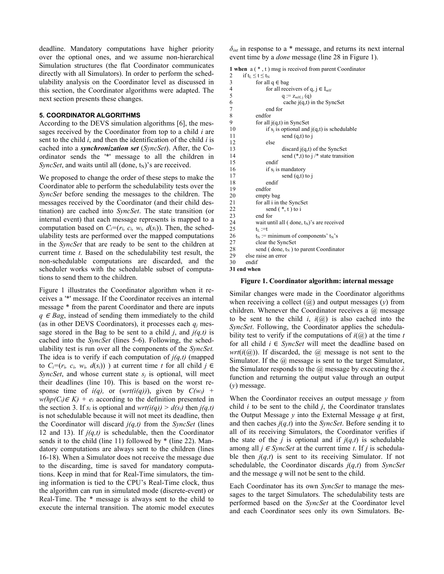deadline. Mandatory computations have higher priority over the optional ones, and we assume non-hierarchical Simulation structures (the flat Coordinator communicates directly with all Simulators). In order to perform the schedulability analysis on the Coordinator level as discussed in this section, the Coordinator algorithms were adapted. The next section presents these changes.

# 5. COORDINATOR ALGORITHMS

According to the DEVS simulation algorithms [6], the messages received by the Coordinator from top to a child  $i$  are sent to the child  $i$ , and then the identification of the child  $i$  is cached into a synchronization set (SyncSet). After, the Coordinator sends the '\*' message to all the children in SyncSet, and waits until all (done,  $t_N$ )'s are received.

We proposed to change the order of these steps to make the Coordinator able to perform the schedulability tests over the SyncSet before sending the messages to the children. The messages received by the Coordinator (and their child destination) are cached into SyncSet. The state transition (or internal event) that each message represents is mapped to a computation based on  $C_i=(r_i, c_i, w_i, d(s_i))$ . Then, the schedulability tests are performed over the mapped computations in the SyncSet that are ready to be sent to the children at current time *t*. Based on the schedulability test result, the non-schedulable computations are discarded, and the scheduler works with the schedulable subset of computations to send them to the children.

Figure 1 illustrates the Coordinator algorithm when it receives a '\*' message. If the Coordinator receives an internal message \* from the parent Coordinator and there are inputs  $q \in Bag$ , instead of sending them immediately to the child (as in other DEVS Coordinators), it processes each  $q_i$  message stored in the Bag to be sent to a child *j*, and  $j(q,t)$  is cached into the SyncSet (lines 5-6). Following, the schedulability test is run over all the components of the SyncSet. The idea is to verify if each computation of  $j(q,t)$  (mapped to  $C_i=(r_i, c_i, w_i, d(s_i))$  ) at current time t for all child  $j \in$ SyncSet, and whose current state  $s_i$  is optional, will meet their deadlines (line 10). This is based on the worst response time of  $i(q)$ , or  $(wrt(i(q)))$ , given by  $C(w_i)$  +  $w(hp(C_i) \in K) + e_i$  according to the definition presented in the section 3. If  $s_i$  is optional and  $wrt(i(q)) > d(s_i)$  then  $i(q,t)$ is not schedulable because it will not meet its deadline, then the Coordinator will discard  $i(q,t)$  from the SyncSet (lines 12 and 13). If  $j(q,t)$  is schedulable, then the Coordinator sends it to the child (line 11) followed by  $*$  (line 22). Mandatory computations are always sent to the children (lines 16-18). When a Simulator does not receive the message due to the discarding, time is saved for mandatory computations. Keep in mind that for Real-Time simulators, the timing information is tied to the CPU's Real-Time clock, thus the algorithm can run in simulated mode (discrete-event) or Real-Time. The \* message is always sent to the child to execute the internal transition. The atomic model executes  $\delta_{int}$  in response to a \* message, and returns its next internal event time by a done message (line 28 in Figure 1).

```
1 when a ( * , t ) msg is received from parent Coordinator
```

```
2 if t_L \le t \le t_N<br>3 for all
3 for all q \in bag<br>4 for all rece
                for all receivers of q, j \in I_{self}5 q := z_{\text{self}, j}(q)6 cache j(q,t) in the SyncSet 7 end for
                end for
8 endfor 
9 for all j(q,t) in SyncSet
10 if s_i is optional and j(q,t) is schedulable
11 send (q,t) to j
12 else 
13 discard j(q,t) of the SyncSet 14 send (* t) to 4 state transit
                       send (*,t) to j /* state transition
15 endif 
16 if s_j is mandatory<br>17 send (q,t) 1
17 send (q,t) to j<br>18 endif
                endif
19 endfor 
20 empty bag 
21 for all i in the SyncSet<br>22 send (*, t) to i
                send (*, t) to i
23 end for<br>24 wait un
           wait until all ( done, t_N)'s are received
25 t_L := t<br>26 t_N :=26 t_N := \text{minimum of components' } t_N's<br>27 clear the SyncSet
           clear the SyncSet
28 send ( done, t_N ) to parent Coordinator
29 else raise an error<br>30 endif
       endif
```
31 end when

#### Figure 1. Coordinator algorithm: internal message

Similar changes were made in the Coordinator algorithms when receiving a collect  $(@)$  and output messages  $(y)$  from children. Whenever the Coordinator receives a  $\omega$  message to be sent to the child i,  $i(\mathbf{a})$  is also cached into the SyncSet. Following, the Coordinator applies the schedulability test to verify if the computations of  $i(\bar{a})$  at the time t for all child  $i \in \text{SyncSet}$  will meet the deadline based on  $wrt(i(\omega))$ . If discarded, the  $(\omega)$  message is not sent to the Simulator. If the  $\omega$  message is sent to the target Simulator, the Simulator responds to the  $\omega$  message by executing the  $\lambda$ function and returning the output value through an output  $(y)$  message.

When the Coordinator receives an output message  $y$  from child  $i$  to be sent to the child  $j$ , the Coordinator translates the Output Message  $y$  into the External Message  $q$  at first, and then caches  $i(q,t)$  into the *SyncSet*. Before sending it to all of its receiving Simulators, the Coordinator verifies if the state of the *j* is optional and if  $j(q,t)$  is schedulable among all  $j \in \text{SyncSet}$  at the current time t. If j is schedulable then  $i(q,t)$  is sent to its receiving Simulator. If not schedulable, the Coordinator discards  $i(q,t)$  from SyncSet and the message  $q$  will not be sent to the child.

Each Coordinator has its own SyncSet to manage the messages to the target Simulators. The schedulability tests are performed based on the SyncSet at the Coordinator level and each Coordinator sees only its own Simulators. Be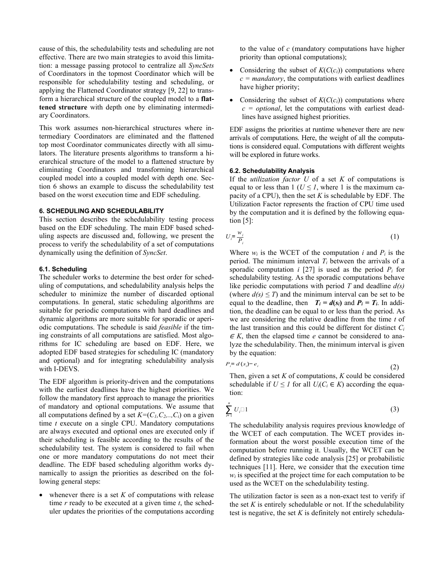cause of this, the schedulability tests and scheduling are not effective. There are two main strategies to avoid this limitation: a message passing protocol to centralize all SyncSets of Coordinators in the topmost Coordinator which will be responsible for schedulability testing and scheduling, or applying the Flattened Coordinator strategy [9, 22] to transform a hierarchical structure of the coupled model to a flattened structure with depth one by eliminating intermediary Coordinators.

This work assumes non-hierarchical structures where intermediary Coordinators are eliminated and the flattened top most Coordinator communicates directly with all simulators. The literature presents algorithms to transform a hierarchical structure of the model to a flattened structure by eliminating Coordinators and transforming hierarchical coupled model into a coupled model with depth one. Section 6 shows an example to discuss the schedulability test based on the worst execution time and EDF scheduling.

# 6. SCHEDULING AND SCHEDULABILITY

This section describes the schedulability testing process based on the EDF scheduling. The main EDF based scheduling aspects are discussed and, following, we present the process to verify the schedulability of a set of computations dynamically using the definition of SyncSet.

#### 6.1. Scheduling

The scheduler works to determine the best order for scheduling of computations, and schedulability analysis helps the scheduler to minimize the number of discarded optional computations. In general, static scheduling algorithms are suitable for periodic computations with hard deadlines and dynamic algorithms are more suitable for sporadic or aperiodic computations. The schedule is said feasible if the timing constraints of all computations are satisfied. Most algorithms for IC scheduling are based on EDF. Here, we adopted EDF based strategies for scheduling IC (mandatory and optional) and for integrating schedulability analysis with I-DEVS.

The EDF algorithm is priority-driven and the computations with the earliest deadlines have the highest priorities. We follow the mandatory first approach to manage the priorities of mandatory and optional computations. We assume that all computations defined by a set  $K=(C_1, C_2, \ldots, C_i)$  on a given time  $t$  execute on a single CPU. Mandatory computations are always executed and optional ones are executed only if their scheduling is feasible according to the results of the schedulability test. The system is considered to fail when one or more mandatory computations do not meet their deadline. The EDF based scheduling algorithm works dynamically to assign the priorities as described on the following general steps:

whenever there is a set  $K$  of computations with release time  $r$  ready to be executed at a given time  $t$ , the scheduler updates the priorities of the computations according to the value of  $c$  (mandatory computations have higher priority than optional computations);

- Considering the subset of  $K(C(c_i))$  computations where  $c =$  mandatory, the computations with earliest deadlines have higher priority;
- Considering the subset of  $K(C(c_i))$  computations where  $c = optional$ , let the computations with earliest deadlines have assigned highest priorities.

EDF assigns the priorities at runtime whenever there are new arrivals of computations. Here, the weight of all the computations is considered equal. Computations with different weights will be explored in future works.

# 6.2. Schedulability Analysis

If the *utilization factor*  $U$  of a set  $K$  of computations is equal to or less than  $1 (U \leq I)$ , where 1 is the maximum capacity of a CPU), then the set  $K$  is schedulable by EDF. The Utilization Factor represents the fraction of CPU time used by the computation and it is defined by the following equation [5]:

$$
U_i = \frac{w_i}{P_i} \tag{1}
$$

Where  $w_i$  is the WCET of the computation i and  $P_i$  is the period. The minimum interval  $T_i$  between the arrivals of a sporadic computation i [27] is used as the period  $P_i$  for schedulability testing. As the sporadic computations behave like periodic computations with period  $T$  and deadline  $d(s)$ (where  $d(s) \leq T$ ) and the minimum interval can be set to be equal to the deadline, then  $T_i = d(s_i)$  and  $P_i = T_i$ . In addition, the deadline can be equal to or less than the period. As we are considering the relative deadline from the time  $t$  of the last transition and this could be different for distinct  $C_i$  $\in$  K, then the elapsed time e cannot be considered to analyze the schedulability. Then, the minimum interval is given by the equation:

$$
P_i = d(s_i) - e_i \tag{2}
$$

Then, given a set  $K$  of computations,  $K$  could be considered schedulable if  $U \leq I$  for all  $U_i(C_i \in K)$  according the equation:

$$
\sum_{i=1}^{n} U_i \square 1 \tag{3}
$$

The schedulability analysis requires previous knowledge of the WCET of each computation. The WCET provides information about the worst possible execution time of the computation before running it. Usually, the WCET can be defined by strategies like code analysis [25] or probabilistic techniques [11]. Here, we consider that the execution time  $w_i$  is specified at the project time for each computation to be used as the WCET on the schedulability testing.

The utilization factor is seen as a non-exact test to verify if the set  $K$  is entirely schedulable or not. If the schedulability test is negative, the set  $K$  is definitely not entirely schedula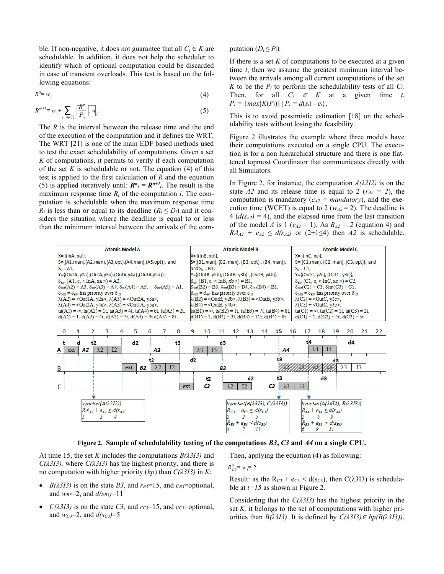ble. If non-negative, it does not guarantee that all  $C_i \in K$  are schedulable. In addition, it does not help the scheduler to identify which of optional computation could be discarded in case of transient overloads. This test is based on the following equations: gative, it does not guarantee that all  $C_i \in K$  are<br>
for the phenometric state of computations, it does not help the scheduler to<br>
if there is a set K of computations<br>
signed vortloads. This test is based on the fol-<br>
ons:

$$
R^0 = w_i
$$

$$
R^{m+1} = w_i + \sum_{j \subset \text{hp}(i)} \left[ \frac{R^m}{P_j} \right] \cdot w_j \tag{5}
$$

The  $R$  is the interval between the release time and the end of the execution of the computation and it defines the WRT. The WRT [21] is one of the main EDF based methods used to test the exact schedulability of computations. Given a set K of computations, it permits to verify if each computation of the set K is schedulable or not. The equation  $(4)$  of this test is applied to the first calculation of  $R$  and the equation (5) is applied iteratively until:  $R^n_i = R^{n+1_i}$ . The result is the maximum response time  $R_i$  of the computation *i*. The computation is schedulable when the maximum response time  $R_i$  is less than or equal to its deadline  $(R_i \leq D_i)$  and it considers the situation where the deadline is equal to or less than the minimum interval between the arrivals of the computation  $(D_i \leq P_i)$ .

(4)

If there is a set  $K$  of computations to be executed at a given time  $t$ , then we assume the greatest minimum interval between the arrivals among all current computations of the set K to be the  $P_i$  to perform the schedulability tests of all  $C_i$ . Then, for all  $C_i \in K$  at a given time t,  $P_i = \{max[K(P_i)] \mid P_i = d(s_i) - e_i\}.$ 

This is to avoid pessimistic estimation [18] on the schedulability tests without losing the feasibility.

Figure 2 illustrates the example where three models have their computations executed on a single CPU. The execution is for a non hierarchical structure and there is one flattened topmost Coordinator that communicates directly with all Simulators.

In Figure 2, for instance, the computation  $A(\lambda 2I2)$  is on the state A2 and its release time is equal to 2 ( $r_{A2} = 2$ ), the computation is mandatory ( $c_{A2}$  = mandatory), and the execution time (WCET) is equal to 2 ( $w_{A2}$  = 2). The deadline is  $4 (d(s<sub>A2</sub>) = 4)$ , and the elapsed time from the last transition of the model A is 1 ( $e_{A2} = 1$ ). As  $R_{A2} = 2$  (equation 4) and  $RA_{A2} + e_{A2} \leq d(s_{A2})$  or (2+1≤4) then A2 is schedulable.



Figure 2. Sample of schedulability testing of the computations B3, C3 and A4 on a single CPU.

At time 15, the set K includes the computations  $B(\lambda 3I3)$  and  $C(\lambda 313)$ , where  $C(\lambda 313)$  has the highest priority, and there is no computation with higher priority  $(hp)$  than  $C(\lambda 313)$  in K:

- $B(\lambda 313)$  is on the state B3, and  $r_{B3}=15$ , and  $c_{B3}=$ optional, and  $w_{B3}=2$ , and  $d(s_{B3})=11$
- $C(\lambda 313)$  is on the state C3, and  $r_{C3}$ =15, and  $c_{C3}$ =optional, and  $w_{C3} = 2$ , and  $d(s_C) = 5$

Then, applying the equation (4) as following:

$$
R_{C3}^0 = w_i = 2
$$

Result: as the  $R_{C3}$  + e<sub>C3</sub> < d(s<sub>C3</sub>), then C( $\lambda$ 3I3) is schedulable at  $t=15$  as shown in Figure 2.

Considering that the  $C(\lambda 313)$  has the highest priority in the set  $K$ , it belongs to the set of computations with higher priorities than  $B(\lambda 313)$ . It is defined by  $C(\lambda 313) \in hp(B(\lambda 313))$ ,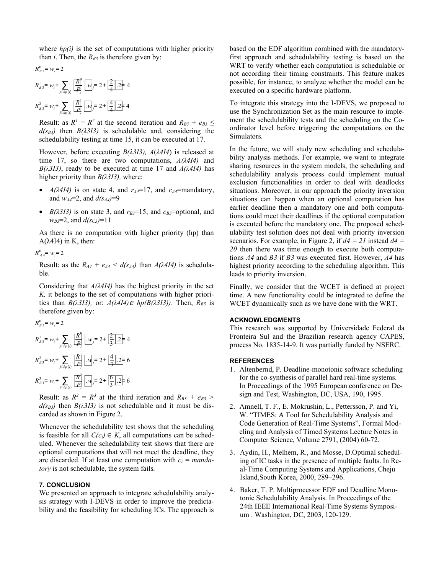where  $hp(i)$  is the set of computations with higher priority than *i*. Then, the  $R_{B3}$  is therefore given by:

$$
R_{B3}^{0} = w_i = 2
$$
  
\n
$$
R_{B3}^{1} = w_i + \sum_{j \in Jip(i)} \frac{R^0}{[P]} [w_j] = 2 + \frac{2}{4} \cdot 2 + 4
$$
  
\n
$$
R_{B3}^{2} = w_i + \sum_{j \in Jip(i)} \frac{R^1}{[P]} [w_j] = 2 + \frac{4}{4} \cdot 2 + 4
$$
  
\nTo inte use the

Result: as  $R^1 = R^2$  at the second iteration and  $R_{B3} + e_{B3} \leq$  $d(s_{B3})$  then  $B(\lambda 313)$  is schedulable and, considering the schedulability testing at time 15, it can be executed at 17.

However, before executing  $B(\lambda 313)$ ,  $A(\lambda 414)$  is released at time 17, so there are two computations,  $A(\lambda 4I4)$  and  $B(\lambda 313)$ , ready to be executed at time 17 and  $A(\lambda 414)$  has higher priority than  $B(\lambda 313)$ , where:

- $A(\lambda 4I4)$  is on state 4, and  $r_{A4}=17$ , and  $c_{A4}=$ mandatory, and  $w_{A4}=2$ , and  $d(s_{A4})=9$
- $B(\lambda 313)$  is on state 3, and  $r_{B3}=15$ , and  $c_{B3}=$ optional, and  $w_{B3}=2$ , and  $d(s_{C3})=11$

As there is no computation with higher priority (hp) than A(λ4I4) in K, then:

 $R_{A4}^{0} = w_i = 2$ 

Result: as the  $R_{A4} + e_{A4} < d(s_{A4})$  than  $A(\lambda 4I4)$  is schedulable.

Considering that  $A(\lambda 4I4)$  has the highest priority in the set K, it belongs to the set of computations with higher priorities than  $B(\lambda 313)$ , or:  $A(\lambda 414) \in hp(B(\lambda 313))$ . Then,  $R_{B3}$  is therefore given by:

| $R_{B_3}^0 = w_i = 2$                                                                             | <b>ACKNOWLEDGMI</b>                                                            |
|---------------------------------------------------------------------------------------------------|--------------------------------------------------------------------------------|
| $R_{B_3}^1 = w_i + \sum_{j \in lip(i)} \frac{R_j^0}{P_j} \cdot w_j = 2 + \frac{2}{3} \cdot 2 = 4$ | This research was<br>Fronteira Sul and<br>process No. 1835-1                   |
| $R_{B_3}^2 = w_i + \sum_{j \in lip(i)} \frac{R_j^1}{P_j} \cdot w_j = 2 + \frac{4}{3} \cdot 2 = 6$ | <b>REFERENCES</b><br>1. Altenbernd, P. 1<br>for the co-synth<br>In Proceedings |

Result: as  $R^2 = R^3$  at the third iteration and  $R_{B3} + e_{B3}$  $d(s_{B3})$  then  $B(\lambda 313)$  is not schedulable and it must be discarded as shown in Figure 2.

Whenever the schedulability test shows that the scheduling is feasible for all  $C(c_i) \in K$ , all computations can be scheduled. Whenever the schedulability test shows that there are optional computations that will not meet the deadline, they are discarded. If at least one computation with  $c_i = manda$ tory is not schedulable, the system fails.

## 7. CONCLUSION

We presented an approach to integrate schedulability analysis strategy with I-DEVS in order to improve the predictability and the feasibility for scheduling ICs. The approach is

 $\frac{R_1^6}{P_1}$ .  $w_j = 2 + \frac{2}{4}$ .  $2 + 4$  possible, for instance, to analyze whether executed on a specific hardware platform.  $\frac{2}{4}$ . 2 + 4<br>executed c based on the EDF algorithm combined with the mandatoryfirst approach and schedulability testing is based on the WRT to verify whether each computation is schedulable or not according their timing constraints. This feature makes possible, for instance, to analyze whether the model can be

 $\frac{R}{P}$ .  $w_j = 2 + \frac{4}{4}$  2+ 4<br>To integrate this strategy into the I-DEVS, we proposed to use the Synchronization Set as the main resource to imple- $\frac{4}{4}$ . 2 + 4<br>use the Sy To integrate this strategy into the I-DEVS, we proposed to ment the schedulability tests and the scheduling on the Coordinator level before triggering the computations on the Simulators.

> In the future, we will study new scheduling and schedulability analysis methods. For example, we want to integrate sharing resources in the system models, the scheduling and schedulability analysis process could implement mutual exclusion functionalities in order to deal with deadlocks situations. Moreover, in our approach the priority inversion situations can happen when an optional computation has earlier deadline then a mandatory one and both computations could meet their deadlines if the optional computation is executed before the mandatory one. The proposed schedulability test solution does not deal with priority inversion scenarios. For example, in Figure 2, if  $d4 = 21$  instead  $d4 =$ 20 then there was time enough to execute both computations A4 and B3 if B3 was executed first. However, A4 has highest priority according to the scheduling algorithm. This leads to priority inversion.

> Finally, we consider that the WCET is defined at project time. A new functionality could be integrated to define the WCET dynamically such as we have done with the WRT.

#### ACKNOWLEDGMENTS

 $\frac{R_1^6}{P_1}$ .  $w_j = 2 + \frac{2}{3}$ . 2+ 4<br>process No. 1835-14-9. It was partially funded by NSERC.  $\frac{2}{3}$ . 2= 4<br>process N This research was supported by Universidade Federal da Fronteira Sul and the Brazilian research agency CAPES,

#### **REFERENCES**

- $\frac{R_1^2}{P_1}$ .  $w_j = 2 + \frac{6}{3}$ .  $2 = 6$ <br>In Proceedings of the 1995 European conference on De  $\frac{6}{3}$ .  $\frac{1}{2}$  = 6 for the In Proc 1. Altenbernd, P. Deadline-monotonic software scheduling In Proceedings of the 1995 European conference on Design and Test, Washington, DC, USA, 190, 1995.
	- 2. Amnell, T. F., E. Mokrushin, L., Pettersson, P. and Yi, W. "TIMES: A Tool for Schedulability Analysis and Code Generation of Real-Time Systems", Formal Modeling and Analysis of Timed Systems Lecture Notes in Computer Science, Volume 2791, (2004) 60-72.
	- 3. Aydin, H., Melhem, R., and Mosse, D.Optimal scheduling of IC tasks in the presence of multiple faults. In Real-Time Computing Systems and Applications, Cheju Island,South Korea, 2000, 289–296.
	- 4. Baker, T. P. Multiprocessor EDF and Deadline Monotonic Schedulability Analysis. In Proceedings of the 24th IEEE International Real-Time Systems Symposium . Washington, DC, 2003, 120-129.